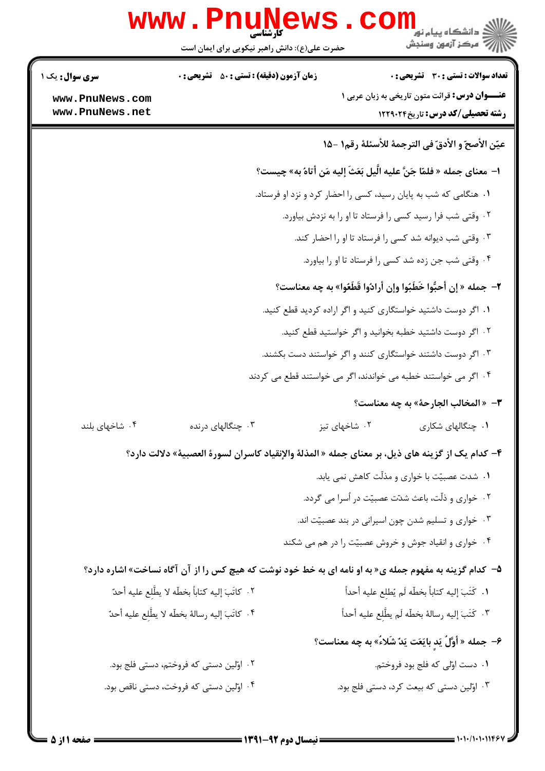|                                                                   | <b>www.PnuNews</b><br>حضرت علی(ع): دانش راهبر نیکویی برای ایمان است                                    |               | دانشگاه پيام نو <mark>ر</mark><br>رآ مرڪز آزمون وسنڊش                                           |  |  |
|-------------------------------------------------------------------|--------------------------------------------------------------------------------------------------------|---------------|-------------------------------------------------------------------------------------------------|--|--|
| <b>سری سوال :</b> یک ۱                                            | <b>زمان آزمون (دقیقه) : تستی : 50 ٪ تشریحی : 0</b>                                                     |               | <b>تعداد سوالات : تستی : 30 ٪ تشریحی : 0</b>                                                    |  |  |
| www.PnuNews.com<br>www.PnuNews.net                                |                                                                                                        |               | <b>عنـــوان درس:</b> قرائت متون تاریخی به زبان عربی ۱<br><b>رشته تحصیلی/کد درس:</b> تاریخ۲۲۹۰۲۴ |  |  |
|                                                                   |                                                                                                        |               | عيّن الأصحّ و الأدقّ في الترجمة للأسئلة رقم١ -١۵                                                |  |  |
|                                                                   | ا–  معناى جمله « فلمّا جَنَّ عليه الَّيل بَعَثَ إليه مَن أتاهُ به» چيست؟                               |               |                                                                                                 |  |  |
|                                                                   | ۰۱ هنگامی که شب به پایان رسید، کسی را احضار کرد و نزد او فرستاد.                                       |               |                                                                                                 |  |  |
| ٢. وقتى شب فرا رسيد كسى را فرستاد تا او را به نزدش بياورد.        |                                                                                                        |               |                                                                                                 |  |  |
| ۰۳ وقتی شب دیوانه شد کسی را فرستاد تا او را احضار کند.            |                                                                                                        |               |                                                                                                 |  |  |
| ۰۴ وقتی شب جن زده شد کسی را فرستاد تا او را بیاورد.               |                                                                                                        |               |                                                                                                 |  |  |
| ٢- جمله « إن أحبُّوا خَطَبُوا وإن أرادُوا قَطَعُوا» به چه معناست؟ |                                                                                                        |               |                                                                                                 |  |  |
|                                                                   |                                                                                                        |               | ۰۱ اگر دوست داشتید خواستگاری کنید و اگر اراده کردید قطع کنید.                                   |  |  |
|                                                                   |                                                                                                        |               | ۰۲ اگر دوست داشتید خطبه بخوانید و اگر خواستید قطع کنید.                                         |  |  |
|                                                                   |                                                                                                        |               | ۰۳ اگر دوست داشتند خواستگاری کنند و اگر خواستند دست بکشند.                                      |  |  |
|                                                                   |                                                                                                        |               | ۰۴ اگر می خواستند خطبه می خواندند، اگر می خواستند قطع می کردند                                  |  |  |
|                                                                   |                                                                                                        |               | <b>٣</b> - « المخالب الجارحة» به چه معناست؟                                                     |  |  |
| ۰۴ شاخهای بلند                                                    | ۰۳ چنگالهای درنده                                                                                      | ۰۲ شاخهای تیز | ۰۱ چنگالهای شکاری                                                                               |  |  |
|                                                                   | ۴– كدام يك از گزينه هاى ذيل، بر معناى جمله « المذلة والإنقياد كاسران لسورة العصبية» دلالت دارد؟        |               |                                                                                                 |  |  |
|                                                                   |                                                                                                        |               | ۰۱ شدت عصبیّت با خواری و مذلّت کاهش نمی یابد.                                                   |  |  |
|                                                                   |                                                                                                        |               | ۰۲ خواری و ذلّت، باعث شدّت عصبیّت در اُسرا می گردد.                                             |  |  |
|                                                                   |                                                                                                        |               | ۰۳ خواری و تسلیم شدن چون اسیرانی در بند عصبیّت اند.                                             |  |  |
|                                                                   |                                                                                                        |               | ۰۴ خواری و انقیاد جوش و خروش عصبیّت را در هم می شکند                                            |  |  |
|                                                                   | ۵- کدام گزینه به مفهوم جمله ی« به او نامه ای به خط خود نوشت که هیچ کس را از آن آگاه نساخت» اشاره دارد؟ |               |                                                                                                 |  |  |
|                                                                   | ٢.  كاتَبَ إليه كتاباً بخطّه لا يطَّلِع عليه أحدٌ                                                      |               | ١. كَتَبَ إليه كتاباً بخطّه لَم يُطلِع عليه أحداً                                               |  |  |
|                                                                   | ۴ . كاتَبَ إليه رسالهٔ بخطّه لا يطَّلِع عليه أحدٌ                                                      |               | ٣. كَتَبَ إليه رسالة بخطّه لَم يطَّلِع عليه أحداً                                               |  |  |
|                                                                   |                                                                                                        |               | ۶- جمله « أَوَّلُ يَدٍ بايَعَت يَدٌ شَلاءُ» به چه معناست؟                                       |  |  |
|                                                                   | ۰۲ اوّلین دستی که فروختم، دستی فلج بود.                                                                |               | ۰۱ دست اوّلی که فلج بود فروختم.                                                                 |  |  |
|                                                                   | ۰۴ اوّلین دستی که فروخت، دستی ناقص بود.                                                                |               | ۰۳ اوّلین دستی که بیعت کرد، دستی فلج بود.                                                       |  |  |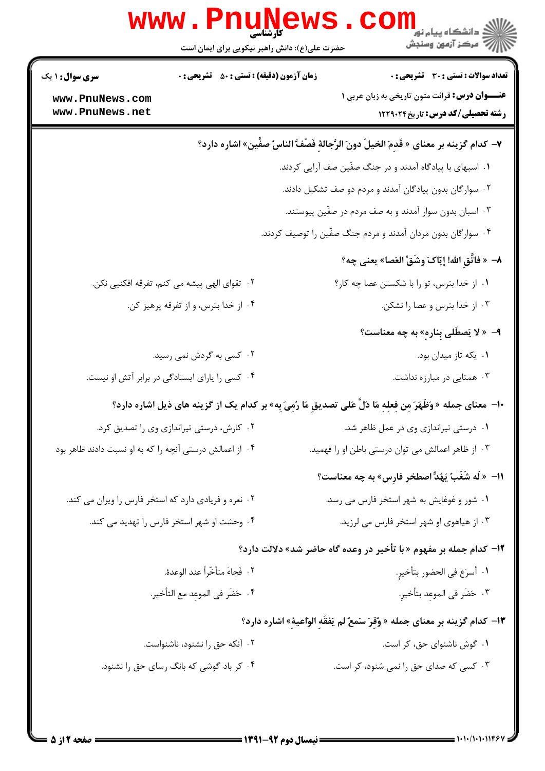| تعداد سوالات : تستي : 30 ٪ تشريحي : 0                                                                                | <b>زمان آزمون (دقیقه) : تستی : 50 ٪ تشریحی : 0</b><br><b>سری سوال : ۱ یک</b> |  |  |  |
|----------------------------------------------------------------------------------------------------------------------|------------------------------------------------------------------------------|--|--|--|
| <b>عنـــوان درس:</b> قرائت متون تاریخی به زبان عربی ۱<br>رشته تحصیلی/کد درس: تاریخ ۱۲۲۹۰۲۴                           | www.PnuNews.com<br>www.PnuNews.net                                           |  |  |  |
| V- كدام گزينه بر معناي « قَدِمَ الخيلُ دونَ الرَّجالةِ فَصِّفَّ الناسُ صفَّين» اشاره دارد؟                           |                                                                              |  |  |  |
|                                                                                                                      | ۰۱ اسبهای با پیادگاه آمدند و در جنگ صفّین صف آرایی کردند.                    |  |  |  |
|                                                                                                                      | ۰۲ سوارگان بدون پیادگان آمدند و مردم دو صف تشکیل دادند.                      |  |  |  |
| ۰۳ اسبان بدون سوار آمدند و به صف مردم در صفّین پیوستند.                                                              |                                                                              |  |  |  |
|                                                                                                                      | ۰۴ سوارگان بدون مردان آمدند و مردم جنگ صفّین را توصیف کردند.                 |  |  |  |
| ٨–  « فاتَّقِ الله! إيّاكَ وشَقِّ العَصا» يعني چه؟                                                                   |                                                                              |  |  |  |
| ٠١ از خدا بترس، تو را با شكستن عصا چه كار؟                                                                           | ۰۲ تقوای الهی پیشه می کنم، تفرقه افکنیی نکن.                                 |  |  |  |
| ۰۳ از خدا بترس و عصا را نشکن.                                                                                        | ۰۴ از خدا بترس، و از تفرقه پرهيز كن.                                         |  |  |  |
| ۹- « لا يَصطَلى بِنارهِ» به چه معناست؟                                                                               |                                                                              |  |  |  |
| ۰۱ يکه تاز ميدان بود.                                                                                                | ۰۲ کسی به گردش نمی رسید.                                                     |  |  |  |
| ۰۳ همتایی در مبارزه نداشت.                                                                                           | ۰۴ کسی را یارای ایستادگی در برابر آتش او نیست.                               |  |  |  |
| +ا–  معنای جمله « وَظَهَرَ مِن فِعلِهِ مَا دَلَّ عَلی تصدیقِ مَا رُمِیَ بِه» بر کدام یک از گزینه های ذیل اشاره دارد؟ |                                                                              |  |  |  |
| ۰۱ درستی تیراندازی وی در عمل ظاهر شد.                                                                                | ۰۲ کارش، درستی تیراندازی وی را تصدیق کرد.                                    |  |  |  |
| ۰۳ از ظاهر اعمالش می توان درستی باطن او را فهمید.                                                                    | ۰۴ از اعمالش درستی آنچه را که به او نسبت دادند ظاهر بود                      |  |  |  |
| 11-  « لَه شَغَبٌ يَهُدُّ اصطخر فارِس» به چه معناست؟                                                                 |                                                                              |  |  |  |
| ۰۱ شور و غوغایش به شهر استخر فارس می رسد.                                                                            | ۰۲ نعره و فریادی دارد که استخر فارس را ویران می کند.                         |  |  |  |
| ۰۳ از هیاهوی او شهر استخر فارس می لرزید.                                                                             | ۰۴ وحشت او شهر استخر فارس را تهدید می کند.                                   |  |  |  |
| ۱ <b>۲</b> – کدام جمله بر مفهوم « با تأخیر در وعده گاه حاضر شد» دلالت دارد؟                                          |                                                                              |  |  |  |
| ٠١. أسرَع في الحضور بتأخيرِ.                                                                                         | ٠٢ فَجاءَ متأخّراً عند الوعدة.                                               |  |  |  |
| ٠٣ حَضَر في الموعِد بتأخير.                                                                                          | ۴.  حَضَر في الموعد مع التأخير.                                              |  |  |  |
| ۱۳- کدام گزینه بر معنای جمله « وُقِرَ سَمعٌ لم يَفقَهِ الوَاعيةِ» اشاره دارد؟                                        |                                                                              |  |  |  |
| ۰۱ گوش ناشنوای حق، کر است.                                                                                           | ۰۲ آنکه حق را نشنود، ناشنواست.                                               |  |  |  |
| ۰۳ کسی که صدای حق را نمی شنود، کر است.                                                                               | ۰۴ کر باد گوشی که بانگ رسای حق را نشنود.                                     |  |  |  |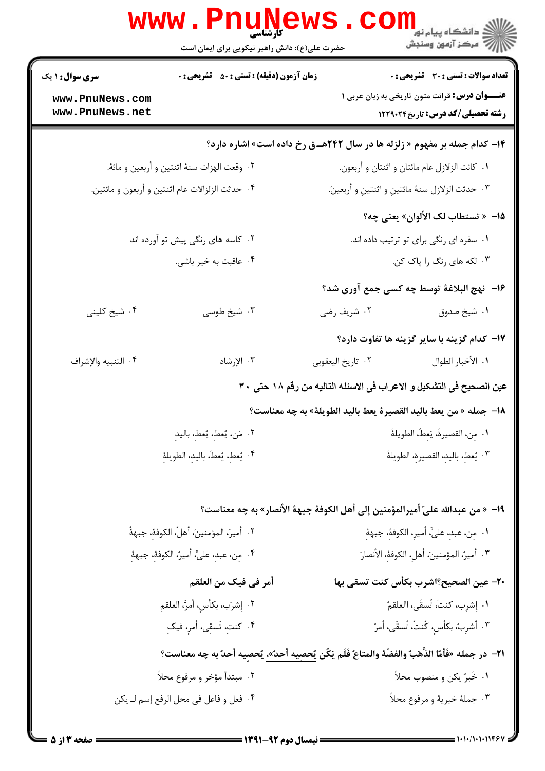|                                                           | کار شناسی<br>حضرت علی(ع): دانش راهبر نیکویی برای ایمان است                                                 | ڪ دانشڪاه پيا <sub>م</sub> نور<br>ر <i>7</i> مرڪز آزمون وسنڊش                                   |  |  |  |
|-----------------------------------------------------------|------------------------------------------------------------------------------------------------------------|-------------------------------------------------------------------------------------------------|--|--|--|
| <b>سری سوال :</b> ۱ یک                                    | <b>زمان آزمون (دقیقه) : تستی : 50 ٪ تشریحی : 0</b>                                                         | تعداد سوالات : تستى : 30 قشريحى : 0                                                             |  |  |  |
| www.PnuNews.com<br>www.PnuNews.net                        |                                                                                                            | <b>عنـــوان درس:</b> قرائت متون تاریخی به زبان عربی ۱<br><b>رشته تحصیلی/کد درس:</b> تاریخ۲۲۹۰۲۴ |  |  |  |
|                                                           | <b>۱۴- کدام جمله بر مفهوم « زلزله ها در سال ۲۴۲هــق رخ داده است» اشاره دارد؟</b>                           |                                                                                                 |  |  |  |
|                                                           | ٠٢ وقعت الهزات سنهٔ اثنتين و أربعين و مائهٔ.                                                               | ٠١ كانت الزلازل عام مائتان و اثنتان و أربعون.                                                   |  |  |  |
|                                                           | ۰۴ حدثت الزلزالات عام اثنتين و أربعون و مائتين.<br>٠٣ حدثت الزلازل سنهٔ مائتينِ و اثنتينِ و أربعينَ.       |                                                                                                 |  |  |  |
|                                                           |                                                                                                            | <mark>1۵</mark> — « تستطاب لک الألوان» يعني چه؟                                                 |  |  |  |
|                                                           | ۰۲ کاسه های رنگی پیش تو آورده اند                                                                          | ٠١ سفره ای رنگی برای تو ترتیب داده اند.                                                         |  |  |  |
|                                                           | ۰۴ عاقبت به خیر باشی.                                                                                      | ۰۳ لکه های رنگ را پاک کن.                                                                       |  |  |  |
|                                                           |                                                                                                            | 1۶- نهج البلاغة توسط چه كسى جمع آورى شد؟                                                        |  |  |  |
| ۰۴ شیخ کلینی                                              | ۰۳ شیخ طوسی                                                                                                | ۰۲ شریف رضی<br>۰۱ شیخ صدوق                                                                      |  |  |  |
|                                                           |                                                                                                            | <b>۱۷</b> - کدام گزینه با سایر گزینه ها تفاوت دارد؟                                             |  |  |  |
| ۴. التنبيه والإشراف                                       | ۰۳ الإرشاد                                                                                                 | ٠٢ تاريخ اليعقوبي<br>٠١. الأخبار الطوال                                                         |  |  |  |
|                                                           |                                                                                                            | عين الصحيح فى التشكيل و الاعراب فى الاسئله التاليه من رقم ١٨ حتى ٣٠                             |  |  |  |
|                                                           |                                                                                                            | 18– جمله « من يعط باليد القصيرة يعط باليد الطويلة» به چه معناست؟                                |  |  |  |
|                                                           | ٠١ مِن، القصيرةَ، يَعِطُ، الطويلةَ<br>٢. مَن، يُعطِ، يُعطِ، باليدِ                                         |                                                                                                 |  |  |  |
| ۴. يُعطِ، يُعطَ، باليدِ، الطويلةِ                         |                                                                                                            | ٠٣ يُعطِ، باليدِ، القصيرةِ، الطويلةَ                                                            |  |  |  |
|                                                           |                                                                                                            |                                                                                                 |  |  |  |
|                                                           |                                                                                                            | 1٩− « من عبدالله عليّ أميرالمؤمنين إلى أهل الكوفة جبهة الأنصار» به چه معناست؟                   |  |  |  |
|                                                           | ٢.  أميرٌ، المؤمنينَ، أهلٌ، الكوففِّ، جبهةٌ                                                                | ٠١. مِن، عبدِ، عليٍّ، أميرِ، الكوفةِ، جبهةِ                                                     |  |  |  |
| ۴ .  مِن، عبدِ، عليِّ، أميرُ، الكوففِ، جبههْ <sub>ٍ</sub> |                                                                                                            | ٣. أميرٌ، المؤمنينَ، أهلِ، الكوففِ، الأنصارَ                                                    |  |  |  |
|                                                           | أمر في فيك من العلقم                                                                                       | <b>٢٠</b> – عين الصحيح؟اشرب بكأس كنت تسقى بها                                                   |  |  |  |
|                                                           | ٢. إِشرَب، بكأسِ، أمرَّ، العلقمِ                                                                           | ٠١. إِشرِب، كنتَ، تُسقَى، االعلقمُ                                                              |  |  |  |
| ۴. كنتِ، تَسقِى، أمرٍ، فيكِ                               |                                                                                                            | ٢. أشرِبُ، بكأسِ، كُنتُ، تُسقَى، أمرٌ                                                           |  |  |  |
|                                                           | ٢١- در جمله «فَأمّا الذَّهَبُ والفضّة والمتاعُ فَلَم يَكُن <u>يُحصيه أحدٌ».</u> يُحصِيه أحدٌ به چه معناست؟ |                                                                                                 |  |  |  |
| ۰۲ مبتدأ مؤخر و مرفوع محلأ                                |                                                                                                            | ٠١ خَبرُ يكن و منصوب محلاً                                                                      |  |  |  |
|                                                           | ۰۳ جملهٔ خبریهٔ و مرفوع محلاً<br>۴. فعل و فاعل في محل الرفع إسم لـ يكن                                     |                                                                                                 |  |  |  |
|                                                           |                                                                                                            |                                                                                                 |  |  |  |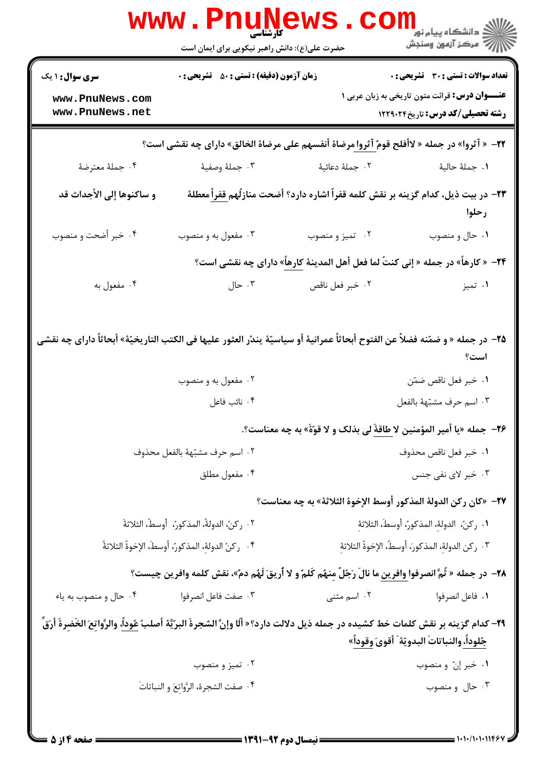|                                                                                                                                                 | WWW.PI<br>کارشناسی<br>حضرت علی(ع): دانش راهبر نیکویی برای ایمان است                                   |                                                                                                              | ڪ دانشڪاه پيا <sub>م</sub> نور<br><mark>√</mark> مرڪز آزمون وسنڊش                                |  |  |
|-------------------------------------------------------------------------------------------------------------------------------------------------|-------------------------------------------------------------------------------------------------------|--------------------------------------------------------------------------------------------------------------|--------------------------------------------------------------------------------------------------|--|--|
| <b>سری سوال : ۱ یک</b>                                                                                                                          | <b>زمان آزمون (دقیقه) : تستی : 50 ٪ تشریحی : 0</b>                                                    |                                                                                                              | <b>تعداد سوالات : تستي : 30 ٪ تشريحي : 0</b>                                                     |  |  |
| www.PnuNews.com<br>www.PnuNews.net                                                                                                              |                                                                                                       |                                                                                                              | <b>عنــــوان درس:</b> قرائت متون تاریخی به زبان عربی ۱<br><b>رشته تحصیلی/کد درس:</b> تاریخ۲۲۹۰۲۴ |  |  |
| <b>۲۲</b> - « آثروا» در جمله « لاأفلح قوم <u>ٌ آثروا </u> مرضاة أنفسهم على مرضاة الخالق» داراى چه نقشى است؟                                     |                                                                                                       |                                                                                                              |                                                                                                  |  |  |
| ۰۴ جملهٔ معترضهٔ                                                                                                                                | ۰۳ جملهٔ وصفيهٔ                                                                                       | ۰۲ جملهٔ دعائیهٔ                                                                                             | ٠١. جملهٔ حاليهٔ                                                                                 |  |  |
| و ساكنوها إلى الأجداث قد                                                                                                                        |                                                                                                       | <b>۲۳</b> – در بیت ذیل، کدام گزینه بر نقش کلمه قفراً اشاره دارد؟ أضحت منازلُهم <u>قفراً</u> معطلهٔ           | رحلوا                                                                                            |  |  |
| ۰۴ خبر أضحت و منصوب                                                                                                                             | ۰۳ مفعول به و منصوب                                                                                   | ۰۲ تمیز و منصوب                                                                                              | ۰۱ حال و منصوب                                                                                   |  |  |
|                                                                                                                                                 |                                                                                                       | ۲۴− « كارهاً» در جمله « إنى كنتٌ لما فعل أهل المدينة كارهاً» داراى چه نقشى است؟                              |                                                                                                  |  |  |
| ۰۴ مفعول به                                                                                                                                     | $J$ ۰ جال                                                                                             | ٠٢ خبر فعل ناقص                                                                                              | ۰۱ تميز                                                                                          |  |  |
| ∆Y− در جمله « و ضمّنه فضلاً عن الفتوح أبحاثاً عمرانية أو سياسيّة يندُر العثور عليها في الكتب التاريخيّة» أبحاثاً داراي چه نقشي                  | ۰۲ مفعول به و منصوب                                                                                   |                                                                                                              | است؟<br>٠١ خبر فعل ناقص ضمّن                                                                     |  |  |
|                                                                                                                                                 | ۰۴ نائب فاعل                                                                                          |                                                                                                              | ٠٣ اسم حرف مشبّههٔ بالفعل                                                                        |  |  |
|                                                                                                                                                 |                                                                                                       | ٢۶−  جمله «يا أمير المؤمنين لا طاقةً لي بذلك و لا قوّةً» به چه معناست؟.                                      |                                                                                                  |  |  |
|                                                                                                                                                 | ٠٢ اسم حرف مشبّههٔ بالفعل محذوف                                                                       | ٠١ خبر فعل ناقص محذوف                                                                                        |                                                                                                  |  |  |
| ۰۴ مفعول مطلق                                                                                                                                   |                                                                                                       | ۰۳ خبر لای نفی جنس                                                                                           |                                                                                                  |  |  |
|                                                                                                                                                 |                                                                                                       | ٢٧–  «كان ركن الدولة المذكور أوسط الإخوة الثلاثة» به چه معناست؟                                              |                                                                                                  |  |  |
| ٠٢ ركن، الدولةُ، المذكورُ،  أوسطُ، الثلاثةَ                                                                                                     |                                                                                                       | ٠١. ركن، الدولهِ، المذكورِ، أوسطَ، الثلاثهِ                                                                  |                                                                                                  |  |  |
|                                                                                                                                                 | ۰۴ ركنُ الدولة، المذكورُ، أوسطَ، الإخوةُ الثلاثةُ<br>٣. ركن الدولهِ، المذكورَ، أوسطُ، الإخوةُ الثلاثة |                                                                                                              |                                                                                                  |  |  |
|                                                                                                                                                 |                                                                                                       | ٢٨-  در جمله « ثُمَّ انصرفوا وافرين ما نالَ رَجُلٌ مِنهُم كَلمٌ و لا أريقَ لَهُم دمٌ»، نقش كلمه وافرين چيست؟ |                                                                                                  |  |  |
| ۰۴ حال و منصوب به یاء                                                                                                                           | ٠٣ صفت فاعل انصرفوا                                                                                   | ۰۲ اسم مثنی                                                                                                  | ٠١. فاعل انصرفوا                                                                                 |  |  |
| ٢٩- كدام گزينه بر نقش كلمات خط كشيده در جمله ذيل دلالت دارد؟« ألَّا وإنَّ الشجرةَ البرّيَّة أصلبٌ <u>عُوداً</u> ، والرَّواتِعَ الخَضِرةَ أرَقِّ |                                                                                                       |                                                                                                              | جُلوداً، والنباتاتَ البدويّة ً أُقوىَ وقوداً»                                                    |  |  |
|                                                                                                                                                 | ۰۲ تميز و منصوب                                                                                       |                                                                                                              | ۰۱ خبر إنّ و منصوب                                                                               |  |  |
|                                                                                                                                                 | ۰۴ صفت الشجرة، الرَّواتِعَ و النباتاتَ                                                                |                                                                                                              | ۰۳ حال و منصوب                                                                                   |  |  |
| صفحه ۱۴ز ۵                                                                                                                                      | = نیمسال دوم 92-1391 =                                                                                |                                                                                                              | = 1・1・/1・1・11467                                                                                 |  |  |